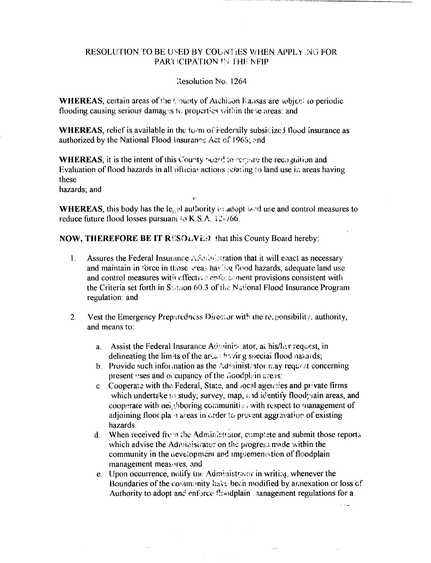## **RESOLUTION TO BE USED BY COUNTIES WHEN APPLY NG FOR** PARTICIPATION ET THE NEIP

## Resolution No. 1264

WHEREAS, certain areas of the County of Atchison Eausas are subject to periodic flooding causing serious damages to properties within these areas; and

**WHEREAS**, relief is available in the torm of rederaily subsidized flood insurance as authorized by the National Flood Insurance Act of 1965; and

**WHEREAS**, it is the intent of this County heard to require the recognition and Evaluation of flood hazards in all official actions relating to land use in areas having these

hazards; and

**WHEREAS**, this body has the least authority is adopt land use and control measures to reduce future flood losses pursuant to K.S.A. 12-766.

**NOW, THEREFORE BE IT RESOLVESY** that this County Board hereby:

- $1.$ Assures the Federal Insurance Administration that it will enact as necessary and maintain in force in those sreas having flood hazards, adequate land use and control measures with effective entered ment provisions consistent with the Criteria set forth in Section 60.3 of the National Flood Insurance Program regulation: and
- Vest the Emergency Preparedness Director with the responsibility, authority,  $2.$ and means to:
	- a. Assist the Federal Insurance Administrator, at his/her request, in delineating the limits of the arcan having special flood nazards;
	- b. Provide such information as the Administrator may request concerning present uses and occupancy of the doodphin areas;
	- c Cooperate with the Federal, State, and local agencies and private firms which undertake to study, survey, map, and identify floodpiain areas, and cooperate with neighboring communities with respect to management of adjoining floot plain areas in order to provent aggravation of existing hazards.
	- When received from the Administrator, complete and submit those reports  $d_{\cdot}$ which advise the Administrator on the progress made within the community in the aevelopment and implements tion of floodplain management measures, and
	- e. Upon occurrence, notify the Administrator in writing whenever the Boundaries of the community have been modified by annexation or loss of Authority to adopt and enforce floodplain management regulations for a